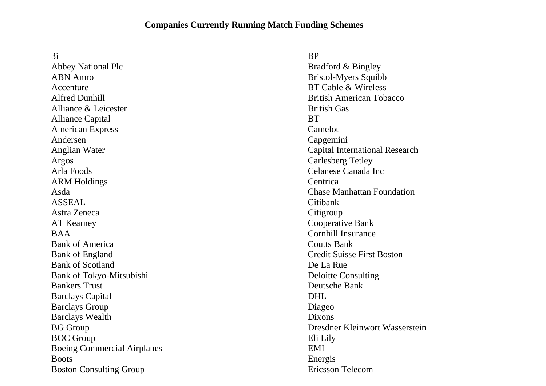## **Companies Currently Running Match Funding Schemes**

3i Abbey National Plc ABN Amro Accenture Alfred Dunhill Alliance & Leicester Alliance Capital American Express Andersen Anglian Water Argos Arla Foods ARM Holdings Asda ASSEAL Astra Zeneca AT Kearney BAA Bank of America Bank of England Bank of Scotland Bank of Tokyo-Mitsubishi Bankers Trust Barclays Capital Barclays Group Barclays Wealth BG Group BOC Group Boeing Commercial Airplanes **Boots** Boston Consulting Group

**BP** 

Bradford & Bingley Bristol-Myers Squibb BT Cable & Wireless British American Tobacco British Gas **BT** Camelot Capgemini Capital International Research Carlesberg Tetley Celanese Canada Inc **Centrica** Chase Manhattan Foundation Citibank **Citigroup** Cooperative Bank Cornhill Insurance Coutts Bank Credit Suisse First Boston De La Rue Deloitte Consulting Deutsche Bank DHL Diageo Dixons Dresdner Kleinwort Wasserstein Eli Lily EMI Energis Ericsson Telecom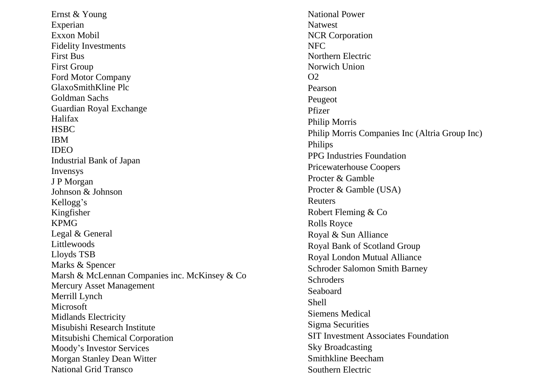Ernst & Young Experian Exxon Mobil Fidelity Investments First Bus First Group Ford Motor Company GlaxoSmithKline Plc Goldman Sachs Guardian Royal Exchange Halifax **HSBC** IBM IDEO Industrial Bank of Japan Invensys J P Morgan Johnson & Johnson Kellogg's Kingfisher KPMG Legal & General Littlewoods Lloyds TSB Marks & Spencer Marsh & McLennan Companies inc. McKinsey & Co Mercury Asset Management Merrill Lynch Microsoft Midlands Electricity Misubishi Research Institute Mitsubishi Chemical Corporation Moody's Investor Services Morgan Stanley Dean Witter National Grid Transco

National Power Natwest NCR Corporation NFC Northern Electric Norwich Union  $O<sub>2</sub>$ Pearson Peugeot Pfizer Philip Morris Philip Morris Companies Inc (Altria Group Inc) Philips PPG Industries Foundation Pricewaterhouse Coopers Procter & Gamble Procter & Gamble (USA) Reuters Robert Fleming & Co Rolls Royce Royal & Sun Alliance Royal Bank of Scotland Group Royal London Mutual Alliance Schroder Salomon Smith Barney **Schroders** Seaboard Shell Siemens Medical Sigma Securities SIT Investment Associates Foundation Sky Broadcasting Smithkline Beecham Southern Electric